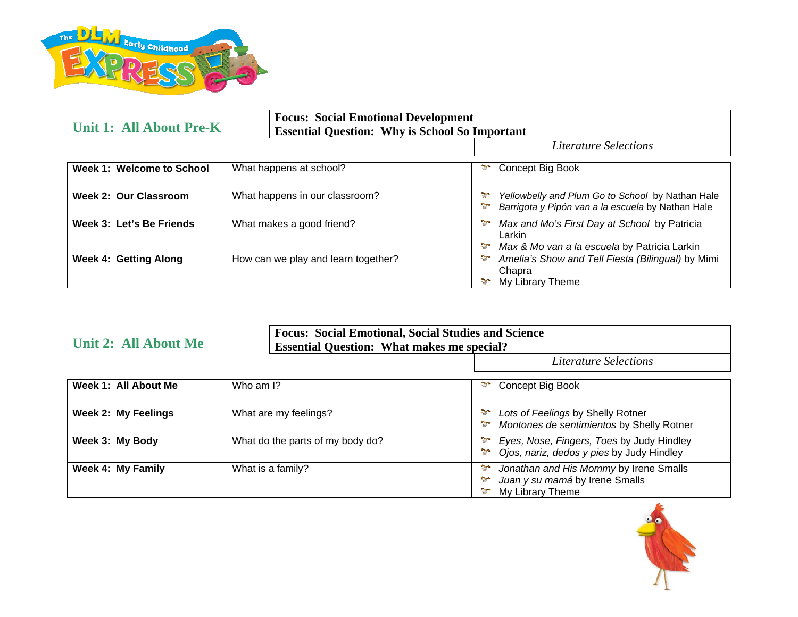

**Unit 1: All About Pre-K** 

## **Focus: Social Emotional Development Essential Question: Why is School So Important**

*Literature Selections*

| Week 1: Welcome to School    | What happens at school?             | ఛా<br>Concept Big Book                                                                                                                  |
|------------------------------|-------------------------------------|-----------------------------------------------------------------------------------------------------------------------------------------|
| <b>Week 2: Our Classroom</b> | What happens in our classroom?      | Yellowbelly and Plum Go to School by Nathan Hale<br>$\mathcal{L}$<br>Barrigota y Pipón van a la escuela by Nathan Hale<br>$\mathcal{L}$ |
| Week 3: Let's Be Friends     | What makes a good friend?           | Max and Mo's First Day at School by Patricia<br>₩<br>Larkin<br>Max & Mo van a la escuela by Patricia Larkin<br>٩T.                      |
| <b>Week 4: Getting Along</b> | How can we play and learn together? | ST.<br>Amelia's Show and Tell Fiesta (Bilingual) by Mimi<br>Chapra<br>My Library Theme                                                  |

| <b>Unit 2: All About Me</b> | <b>Focus: Social Emotional, Social Studies and Science</b><br><b>Essential Question: What makes me special?</b> |                                                                                                                                 |
|-----------------------------|-----------------------------------------------------------------------------------------------------------------|---------------------------------------------------------------------------------------------------------------------------------|
|                             |                                                                                                                 | <b>Literature Selections</b>                                                                                                    |
| Week 1: All About Me        | Who am I?                                                                                                       | $\mathbb{R}^n$<br>Concept Big Book                                                                                              |
| <b>Week 2: My Feelings</b>  | What are my feelings?                                                                                           | Lots of Feelings by Shelly Rotner<br>Montones de sentimientos by Shelly Rotner                                                  |
| Week 3: My Body             | What do the parts of my body do?                                                                                | Eyes, Nose, Fingers, Toes by Judy Hindley<br>$\mathcal{L}_{\mathcal{L}}$<br>Ojos, nariz, dedos y pies by Judy Hindley<br>$\sim$ |
| <b>Week 4: My Family</b>    | What is a family?                                                                                               | Jonathan and His Mommy by Irene Smalls<br>Juan y su mamá by Irene Smalls<br>My Library Theme                                    |

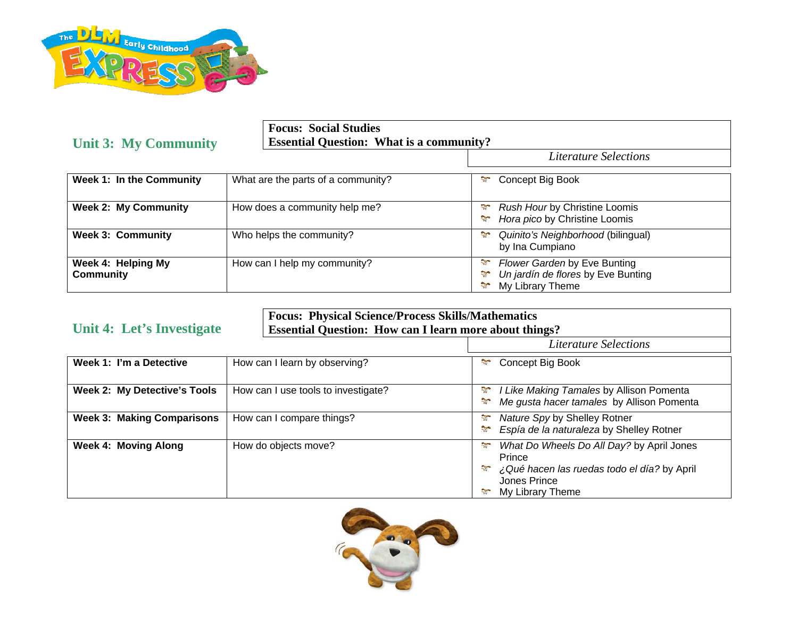

| <b>Unit 3: My Community</b>            | <b>Focus: Social Studies</b><br><b>Essential Question: What is a community?</b> |                                                                                                    |
|----------------------------------------|---------------------------------------------------------------------------------|----------------------------------------------------------------------------------------------------|
|                                        |                                                                                 | <b>Literature Selections</b>                                                                       |
| Week 1: In the Community               | What are the parts of a community?                                              | Concept Big Book<br>హ                                                                              |
| <b>Week 2: My Community</b>            | How does a community help me?                                                   | <b>SP</b><br>Rush Hour by Christine Loomis<br>Hora pico by Christine Loomis<br>$\mathcal{L}$       |
| <b>Week 3: Community</b>               | Who helps the community?                                                        | ST.<br>Quinito's Neighborhood (bilingual)<br>by Ina Cumpiano                                       |
| Week 4: Helping My<br><b>Community</b> | How can I help my community?                                                    | Flower Garden by Eve Bunting<br>-91<br>Un jardín de flores by Eve Bunting<br>My Library Theme<br>₩ |

|  | Unit 4: Let's Investigate |
|--|---------------------------|
|  |                           |

**Focus: Physical Science/Process Skills/Mathematics Essential Question: How can I learn more about things?** 

|                                     |                                     | Literature Selections                                                                                                                             |
|-------------------------------------|-------------------------------------|---------------------------------------------------------------------------------------------------------------------------------------------------|
| Week 1: I'm a Detective             | How can I learn by observing?       | Concept Big Book<br><b>R</b>                                                                                                                      |
| <b>Week 2: My Detective's Tools</b> | How can I use tools to investigate? | I Like Making Tamales by Allison Pomenta<br>S.<br>Me gusta hacer tamales by Allison Pomenta<br>$\mathcal{L}$                                      |
| <b>Week 3: Making Comparisons</b>   | How can I compare things?           | Nature Spy by Shelley Rotner<br>-91<br>Espía de la naturaleza by Shelley Rotner<br>57                                                             |
| Week 4: Moving Along                | How do objects move?                | What Do Wheels Do All Day? by April Jones<br>ಞ<br>Prince<br>¿Qué hacen las ruedas todo el día? by April<br>ನ್<br>Jones Prince<br>My Library Theme |

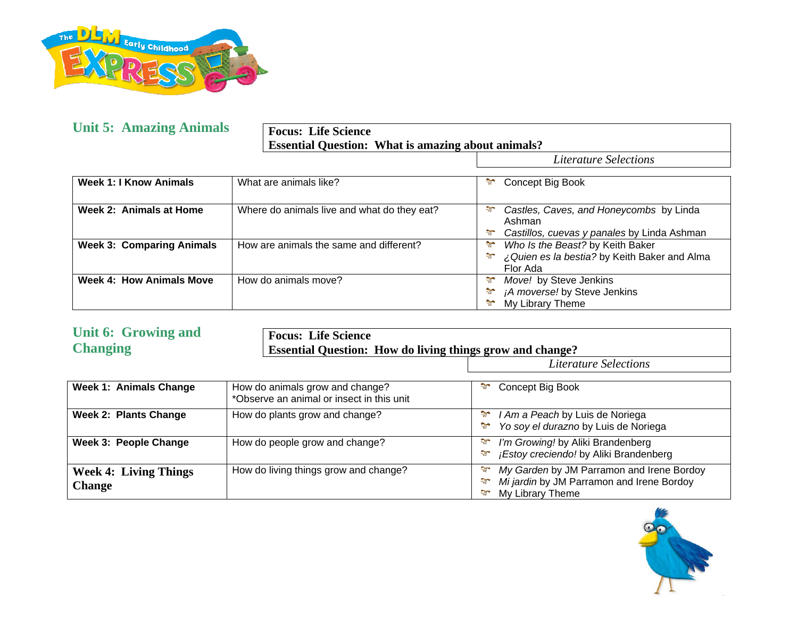

## **Unit 5: Amazing Animals**

**Focus: Life Science Essential Question: What is amazing about animals?** 

*Literature Selections* 

| Week 1: I Know Animals           | What are animals like?                      | ÷,<br>Concept Big Book                                                                                                   |
|----------------------------------|---------------------------------------------|--------------------------------------------------------------------------------------------------------------------------|
| Week 2: Animals at Home          | Where do animals live and what do they eat? | Castles, Caves, and Honeycombs by Linda<br><b>Section</b><br>Ashman<br>Castillos, cuevas y panales by Linda Ashman<br>٩Ţ |
| <b>Week 3: Comparing Animals</b> | How are animals the same and different?     | ÷,<br>Who Is the Beast? by Keith Baker<br>¿Quien es la bestia? by Keith Baker and Alma<br>$\sim$<br>Flor Ada             |
| Week 4: How Animals Move         | How do animals move?                        | Move! by Steve Jenkins<br>₩<br>¡A moverse! by Steve Jenkins<br><b>PP</b><br>٩T.<br>My Library Theme                      |

| <b>Unit 6: Growing and</b><br><b>Changing</b> | <b>Focus: Life Science</b>                                                   | <b>Essential Question: How do living things grow and change?</b>                                                        |  |
|-----------------------------------------------|------------------------------------------------------------------------------|-------------------------------------------------------------------------------------------------------------------------|--|
|                                               |                                                                              | <b>Literature Selections</b>                                                                                            |  |
| <b>Week 1: Animals Change</b>                 | How do animals grow and change?<br>*Observe an animal or insect in this unit | Concept Big Book<br>٩Ţ.                                                                                                 |  |
| <b>Week 2: Plants Change</b>                  | How do plants grow and change?                                               | $\mathcal{L}$<br>I Am a Peach by Luis de Noriega<br>Yo soy el durazno by Luis de Noriega<br>$\mathcal{L}$               |  |
| Week 3: People Change                         | How do people grow and change?                                               | I'm Growing! by Aliki Brandenberg<br>$\mathcal{L}$<br>¡Estoy creciendo! by Aliki Brandenberg<br>$\mathcal{L}$           |  |
| <b>Week 4: Living Things</b><br><b>Change</b> | How do living things grow and change?                                        | My Garden by JM Parramon and Irene Bordoy<br><b>SP</b><br>Mi jardin by JM Parramon and Irene Bordoy<br>My Library Theme |  |